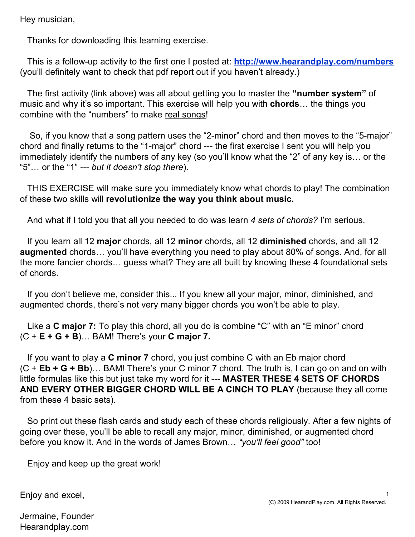Hey musician,

Thanks for downloading this learning exercise.

This is a follow-up activity to the first one I posted at: **http://www.hearandplay.com/numbers** (you'll definitely want to check that pdf report out if you haven't already.)

The first activity (link above) was all about getting you to master the "number system" of music and why it's so important. This exercise will help you with **chords**... the things you combine with the "numbers" to make real songs!

So, if you know that a song pattern uses the "2-minor" chord and then moves to the "5-major" chord and finally returns to the "1-major" chord --- the first exercise I sent you will help you immediately identify the numbers of any key (so you'll know what the "2" of any key is... or the " $5"...$  or the "1" --- but it doesn't stop there).

THIS EXERCISE will make sure you immediately know what chords to play! The combination of these two skills will revolutionize the way you think about music.

And what if I told you that all you needed to do was learn 4 sets of chords? I'm serious.

If you learn all 12 major chords, all 12 minor chords, all 12 diminished chords, and all 12 augmented chords... you'll have everything you need to play about 80% of songs. And, for all the more fancier chords... guess what? They are all built by knowing these 4 foundational sets of chords.

If you don't believe me, consider this... If you knew all your major, minor, diminished, and augmented chords, there's not very many bigger chords you won't be able to play.

Like a **C major 7:** To play this chord, all you do is combine "C" with an "E minor" chord  $(C + E + G + B)$ ... BAM! There's your C major 7.

If you want to play a  $C$  minor  $7$  chord, you just combine  $C$  with an Eb major chord  $(C + Eb + G + Bb)$ ... BAM! There's your C minor 7 chord. The truth is, I can go on and on with little formulas like this but just take my word for it --- MASTER THESE 4 SETS OF CHORDS AND EVERY OTHER BIGGER CHORD WILL BE A CINCH TO PLAY (because they all come from these 4 basic sets).

So print out these flash cards and study each of these chords religiously. After a few nights of going over these, you'll be able to recall any major, minor, diminished, or augmented chord before you know it. And in the words of James Brown... "you'll feel good" too!

Enjoy and keep up the great work!

Enjoy and excel,

1

Jermaine, Founder Hearandplay.com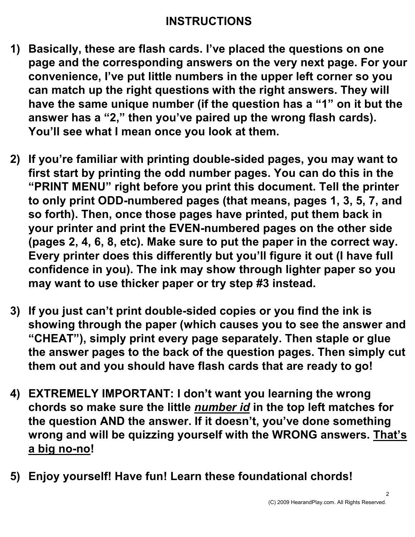## INSTRUCTIONS

- 1) Basically, these are flash cards. I've placed the questions on one page and the corresponding answers on the very next page. For your convenience, I've put little numbers in the upper left corner so you can match up the right questions with the right answers. They will have the same unique number (if the question has a "1" on it but the answer has a "2," then you've paired up the wrong flash cards). You'll see what I mean once you look at them.
- 2) If you're familiar with printing double-sided pages, you may want to first start by printing the odd number pages. You can do this in the "PRINT MENU" right before you print this document. Tell the printer to only print ODD-numbered pages (that means, pages 1, 3, 5, 7, and so forth). Then, once those pages have printed, put them back in your printer and print the EVEN-numbered pages on the other side (pages 2, 4, 6, 8, etc). Make sure to put the paper in the correct way. Every printer does this differently but you'll figure it out (I have full confidence in you). The ink may show through lighter paper so you may want to use thicker paper or try step #3 instead.
- 3) If you just can't print double-sided copies or you find the ink is showing through the paper (which causes you to see the answer and "CHEAT"), simply print every page separately. Then staple or glue the answer pages to the back of the question pages. Then simply cut them out and you should have flash cards that are ready to go!
- 4) EXTREMELY IMPORTANT: I don't want you learning the wrong chords so make sure the little *number id* in the top left matches for the question AND the answer. If it doesn't, you've done something wrong and will be quizzing yourself with the WRONG answers. That's a big no-no!
- 5) Enjoy yourself! Have fun! Learn these foundational chords!

2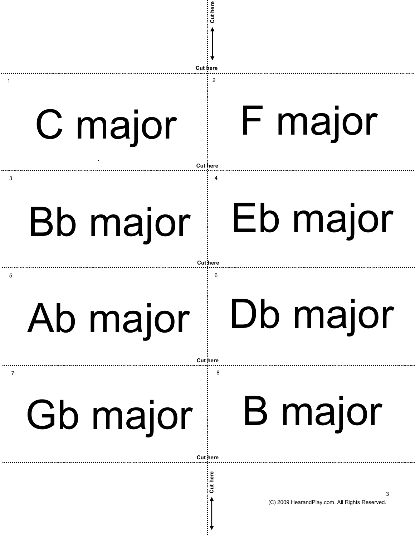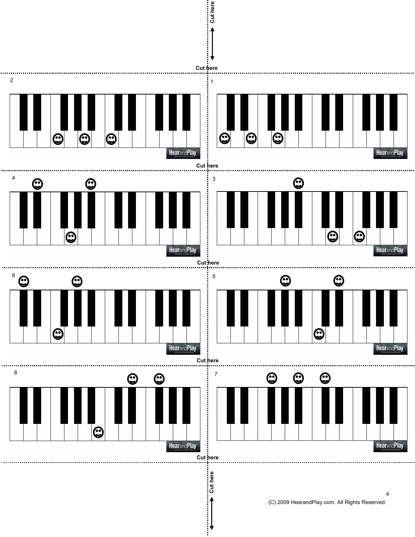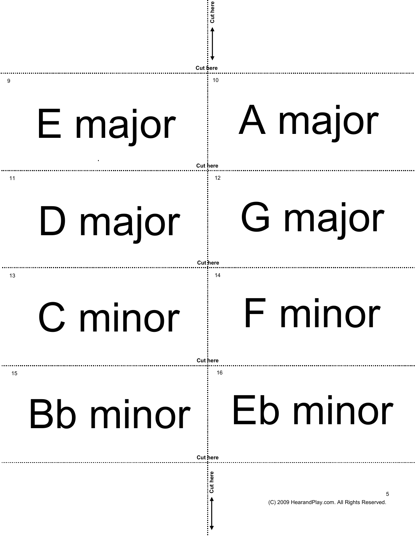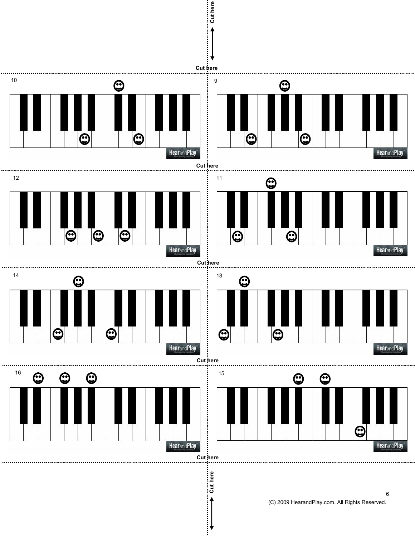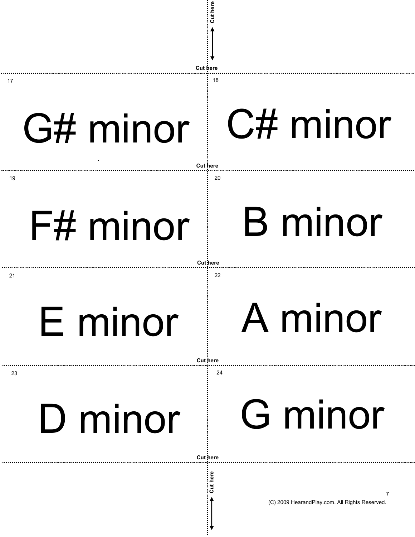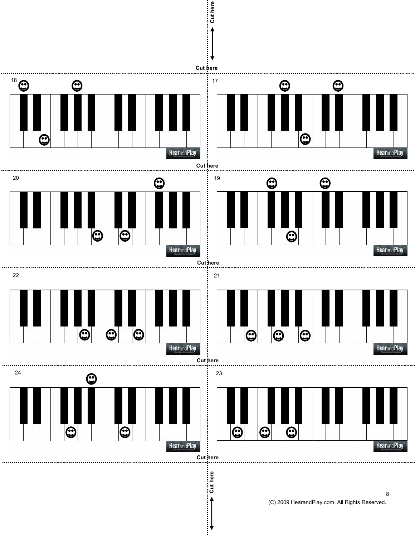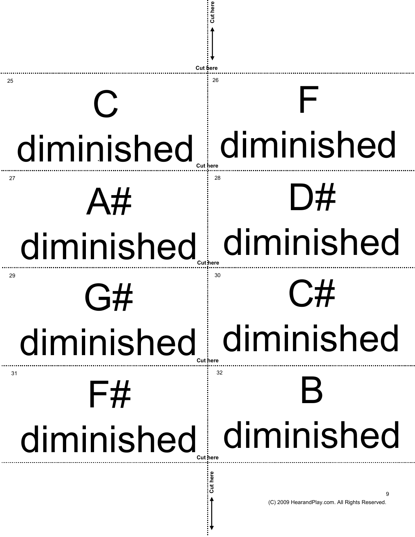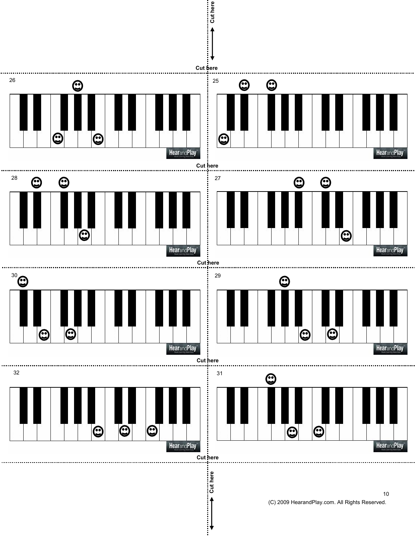

<sup>(</sup>C) 2009 HearandPlay.com. All Rights Reserved. 10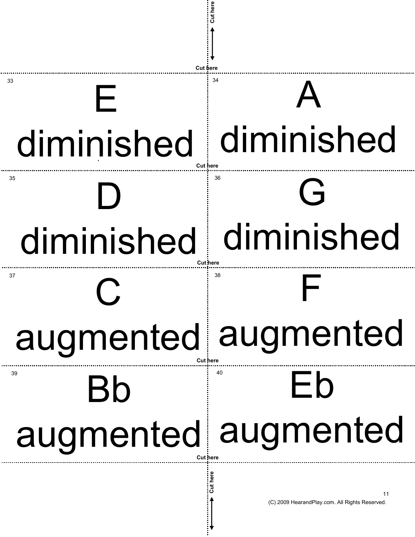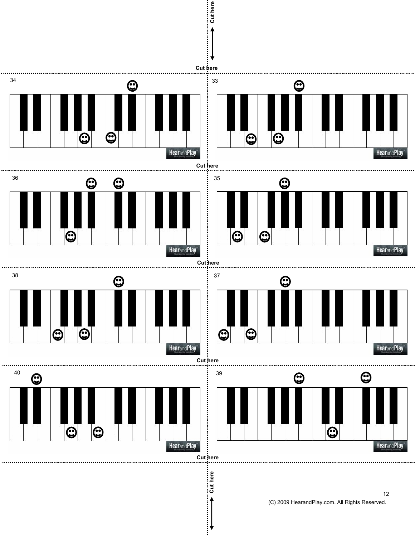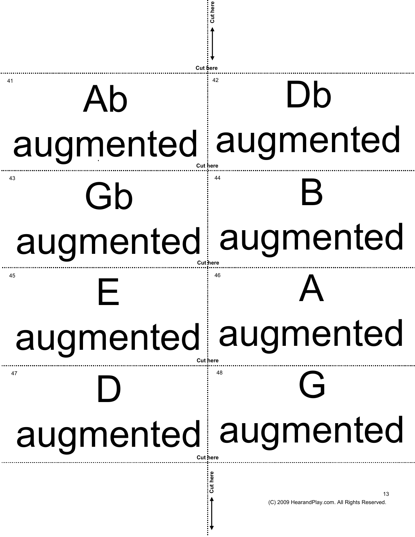